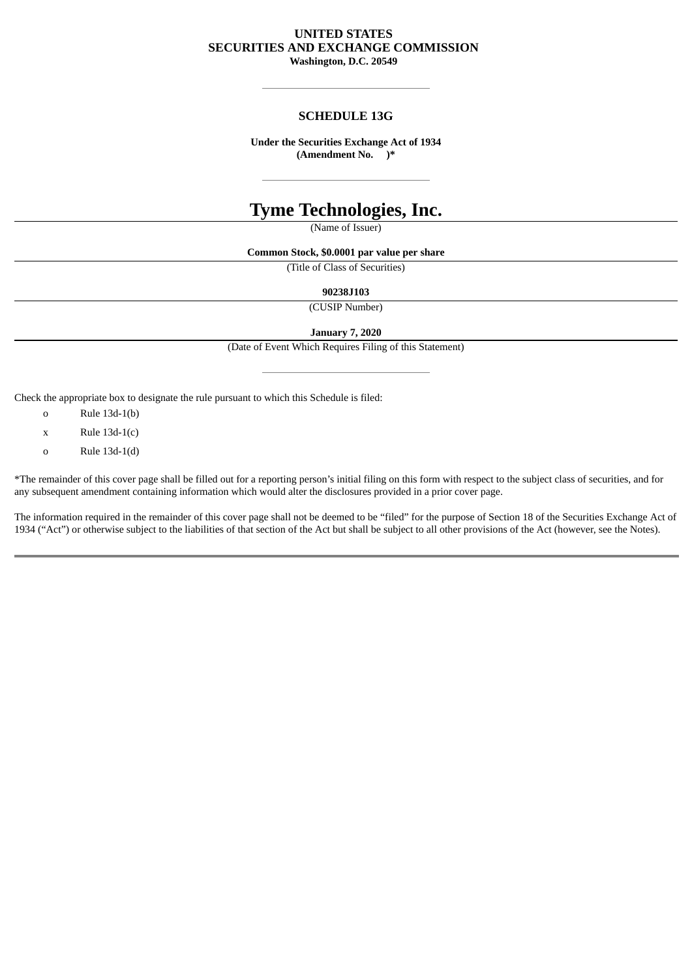## **UNITED STATES SECURITIES AND EXCHANGE COMMISSION Washington, D.C. 20549**

# **SCHEDULE 13G**

**Under the Securities Exchange Act of 1934 (Amendment No. )\***

# **Tyme Technologies, Inc.**

(Name of Issuer)

**Common Stock, \$0.0001 par value per share**

(Title of Class of Securities)

**90238J103**

(CUSIP Number)

**January 7, 2020**

(Date of Event Which Requires Filing of this Statement)

Check the appropriate box to designate the rule pursuant to which this Schedule is filed:

o Rule 13d-1(b)

 $x$  Rule 13d-1(c)

o Rule 13d-1(d)

\*The remainder of this cover page shall be filled out for a reporting person's initial filing on this form with respect to the subject class of securities, and for any subsequent amendment containing information which would alter the disclosures provided in a prior cover page.

The information required in the remainder of this cover page shall not be deemed to be "filed" for the purpose of Section 18 of the Securities Exchange Act of 1934 ("Act") or otherwise subject to the liabilities of that section of the Act but shall be subject to all other provisions of the Act (however, see the Notes).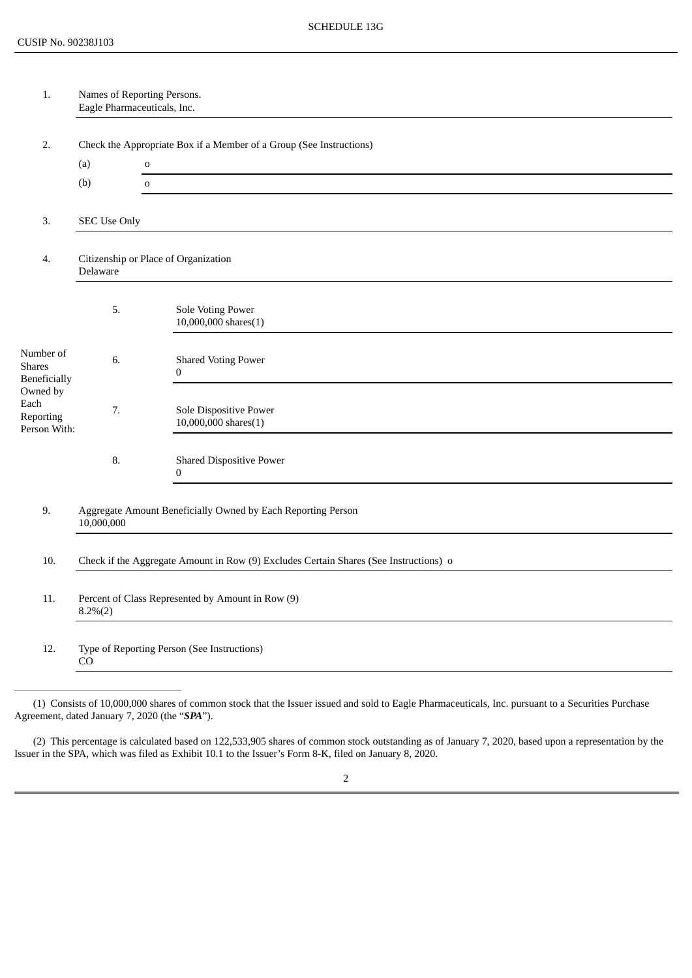| 1.                                                                                                 | Names of Reporting Persons.<br>Eagle Pharmaceuticals, Inc.                                                                                         |                                                     |  |  |
|----------------------------------------------------------------------------------------------------|----------------------------------------------------------------------------------------------------------------------------------------------------|-----------------------------------------------------|--|--|
| 2.                                                                                                 | Check the Appropriate Box if a Member of a Group (See Instructions)                                                                                |                                                     |  |  |
|                                                                                                    | (a)                                                                                                                                                | $\mathbf 0$                                         |  |  |
|                                                                                                    | (b)                                                                                                                                                | $\mathbf 0$                                         |  |  |
| 3.                                                                                                 | <b>SEC Use Only</b>                                                                                                                                |                                                     |  |  |
| 4.                                                                                                 | Delaware                                                                                                                                           | Citizenship or Place of Organization                |  |  |
|                                                                                                    | 5.                                                                                                                                                 | Sole Voting Power<br>$10,000,000$ shares $(1)$      |  |  |
| Number of<br><b>Shares</b><br><b>Beneficially</b><br>Owned by<br>Each<br>Reporting<br>Person With: | 6.                                                                                                                                                 | <b>Shared Voting Power</b><br>$\bf{0}$              |  |  |
|                                                                                                    | 7.                                                                                                                                                 | Sole Dispositive Power<br>$10,000,000$ shares $(1)$ |  |  |
|                                                                                                    | 8.                                                                                                                                                 | <b>Shared Dispositive Power</b><br>$\boldsymbol{0}$ |  |  |
| 9.                                                                                                 | Aggregate Amount Beneficially Owned by Each Reporting Person<br>10,000,000                                                                         |                                                     |  |  |
| 10.                                                                                                | Check if the Aggregate Amount in Row (9) Excludes Certain Shares (See Instructions) o                                                              |                                                     |  |  |
| 11.                                                                                                | Percent of Class Represented by Amount in Row (9)<br>$8.2\%(2)$                                                                                    |                                                     |  |  |
| 12.                                                                                                | Type of Reporting Person (See Instructions)<br>CO                                                                                                  |                                                     |  |  |
|                                                                                                    | (1) Consists of 10,000,000 shares of common stock that the Issuer issued and sold to Eagle Pharmaceuticals, Inc. pursuant to a Securities Purchase |                                                     |  |  |

Agreement, dated January 7, 2020 (the "*SPA*").

(2) This percentage is calculated based on 122,533,905 shares of common stock outstanding as of January 7, 2020, based upon a representation by the Issuer in the SPA, which was filed as Exhibit 10.1 to the Issuer's Form 8-K, filed on January 8, 2020.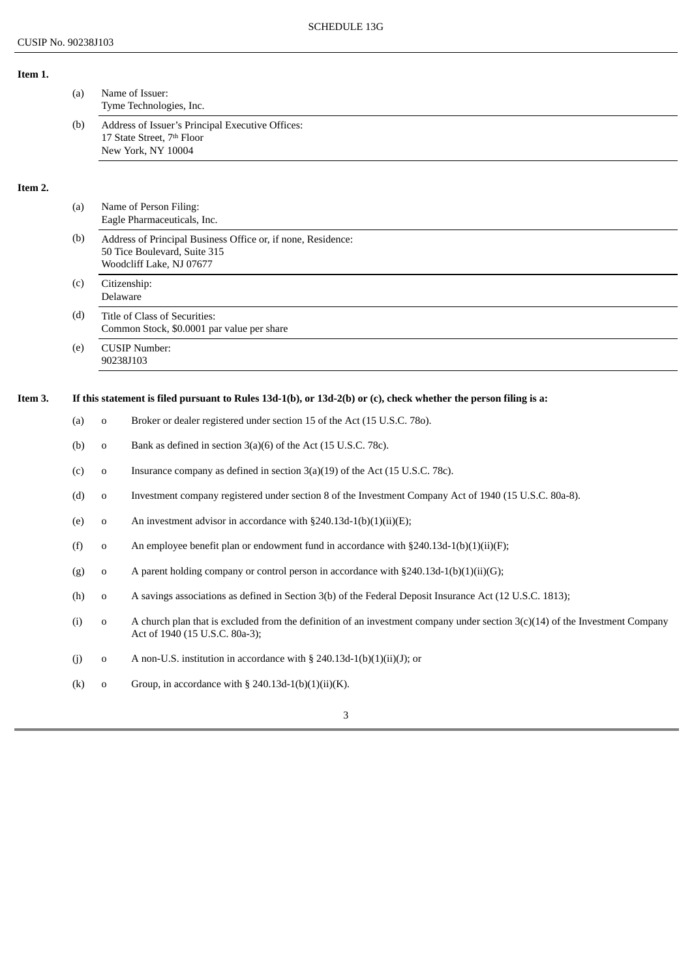**Item 1.**

|         | (a) |             | Name of Issuer:<br>Tyme Technologies, Inc.                                                                                                                                                   |  |
|---------|-----|-------------|----------------------------------------------------------------------------------------------------------------------------------------------------------------------------------------------|--|
|         | (b) |             | Address of Issuer's Principal Executive Offices:<br>17 State Street, 7th Floor<br>New York, NY 10004                                                                                         |  |
| Item 2. |     |             |                                                                                                                                                                                              |  |
|         | (a) |             | Name of Person Filing:<br>Eagle Pharmaceuticals, Inc.                                                                                                                                        |  |
|         | (b) |             | Address of Principal Business Office or, if none, Residence:<br>50 Tice Boulevard, Suite 315<br>Woodcliff Lake, NJ 07677                                                                     |  |
|         | (c) |             | Citizenship:<br>Delaware                                                                                                                                                                     |  |
|         | (d) |             | Title of Class of Securities:<br>Common Stock, \$0.0001 par value per share                                                                                                                  |  |
|         | (e) |             | <b>CUSIP Number:</b><br>90238J103                                                                                                                                                            |  |
|         |     |             |                                                                                                                                                                                              |  |
| Item 3. |     | $\mathbf 0$ | If this statement is filed pursuant to Rules 13d-1(b), or 13d-2(b) or (c), check whether the person filing is a:<br>Broker or dealer registered under section 15 of the Act (15 U.S.C. 780). |  |
|         | (a) |             |                                                                                                                                                                                              |  |
|         | (b) | 0           | Bank as defined in section 3(a)(6) of the Act (15 U.S.C. 78c).                                                                                                                               |  |
|         | (c) | o           | Insurance company as defined in section 3(a)(19) of the Act (15 U.S.C. 78c).                                                                                                                 |  |
|         | (d) | 0           | Investment company registered under section 8 of the Investment Company Act of 1940 (15 U.S.C. 80a-8).                                                                                       |  |
|         | (e) | 0           | An investment advisor in accordance with §240.13d-1(b)(1)(ii)(E);                                                                                                                            |  |
|         | (f) | o           | An employee benefit plan or endowment fund in accordance with §240.13d-1(b)(1)(ii)(F);                                                                                                       |  |
|         | (g) | 0           | A parent holding company or control person in accordance with $\S 240.13d-1(b)(1)(ii)(G);$                                                                                                   |  |
|         | (h) | 0           | A savings associations as defined in Section 3(b) of the Federal Deposit Insurance Act (12 U.S.C. 1813);                                                                                     |  |
|         | (i) | $\mathbf 0$ | A church plan that is excluded from the definition of an investment company under section $3(c)(14)$ of the Investment Company<br>Act of 1940 (15 U.S.C. 80a-3);                             |  |
|         | (j) | $\mathbf 0$ | A non-U.S. institution in accordance with $\S$ 240.13d-1(b)(1)(ii)(J); or                                                                                                                    |  |
|         | (k) | 0           | Group, in accordance with § 240.13d-1(b)(1)(ii)(K).                                                                                                                                          |  |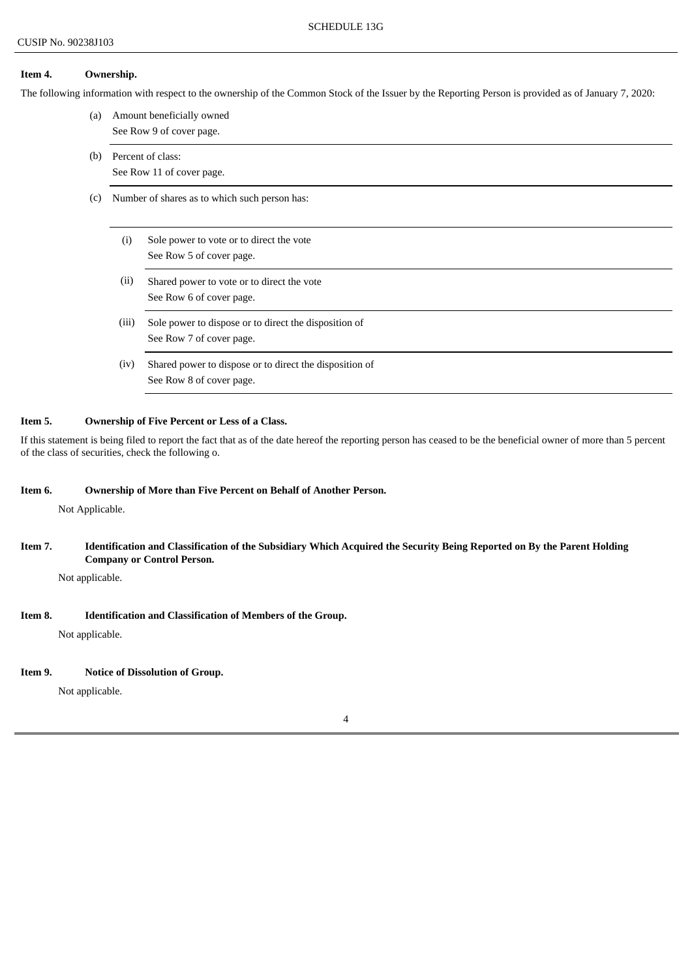### **Item 4. Ownership.**

The following information with respect to the ownership of the Common Stock of the Issuer by the Reporting Person is provided as of January 7, 2020:

- (a) Amount beneficially owned See Row 9 of cover page.
- (b) Percent of class: See Row 11 of cover page.
- (c) Number of shares as to which such person has:
	- (i) Sole power to vote or to direct the vote See Row 5 of cover page.
	- (ii) Shared power to vote or to direct the vote See Row 6 of cover page.
	- (iii) Sole power to dispose or to direct the disposition of See Row 7 of cover page.
	- (iv) Shared power to dispose or to direct the disposition of See Row 8 of cover page.

#### **Item 5. Ownership of Five Percent or Less of a Class.**

If this statement is being filed to report the fact that as of the date hereof the reporting person has ceased to be the beneficial owner of more than 5 percent of the class of securities, check the following o.

## **Item 6. Ownership of More than Five Percent on Behalf of Another Person.**

Not Applicable.

Item 7. Identification and Classification of the Subsidiary Which Acquired the Security Being Reported on By the Parent Holding **Company or Control Person.**

Not applicable.

### **Item 8. Identification and Classification of Members of the Group.**

Not applicable.

#### **Item 9. Notice of Dissolution of Group.**

Not applicable.